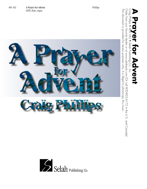

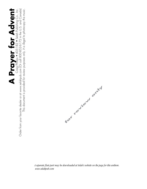# **A Prayer for Advent** Craig Phillips • 405-182 • Selah Publishing Co., Inc.

Order from your favorite dealer or at www.selahpub.com (Or call 800-852-6172 in the U.S. and Canada) This document is provided for review purposes only. It is illegal to photocopy this music. This document is provided for review purposes only. *It is illegal to photocopy this music.*



*A separate flute part may be downloaded at Selah's website on the page for this anthem. www.selahpub.com*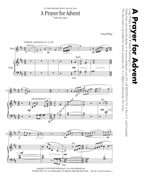*for Trinity Episcopal Church, Iowa City, Iowa*

### A Prayer for Advent SATB, flute, organ

 $\widetilde{\Xi}$ . Order from your favorite dealer or at www.selahpub.com (Or call 800-852-6172 in the U.S. and Canada) Order from your favorite dealer or at www.selahpub.com (Or call 800-852-6172 in the U.S. and Canada) **A Prayer for Addyer inc. Phillips**  $\overline{82}$ Selah Publishing Co.,  $\overline{\mathbf{Q}}$  $\overline{P}$ 

This document is provided for review purposes only.

This document is provided for review purposes only. It is illegal to photocopy this music.

*It is illegal to photocopy this music.*







Printed in the U.S.A. on recycled paper. *It is illegal to photocopy this music*. 405-182-A Prayer for Advent-3 Copyright © 2010 Selah Publishing Co., Inc. www.selahpub.com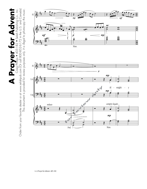

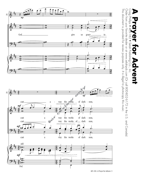

<sup>405-182–</sup>A Prayer for Advent– 5

# Craig Phillips • 455-182 • Selah Publishing Co., Inc.<br>Order from your favorite dealer or at www.selahpub.com (Or call 800-852-6172 in the U.S. and Canada)<br>This document is exercided for review, exerce cent, this illected t Order from your favorite dealer or at www.selahpub.com (Or call 800-852-6172 in the U.S. and Canada) **A Prayer for Addyer inc.** OVENI

This document is provided for review purposes only.

This document is provided for review purposes only. It is illegal to photocopy this music.

*It is illegal to photocopy this music.*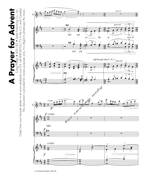**A Prayer for Advent** Craig Phillips • 405-182 • Selah Publishing Co., Inc. Order from your favorite dealer or at www.selahpub.com (Or call 800-852-6172 in the U.S. and Canada) This document is provided for review purposes only. It is illegal to photocopy this music. This document is provided for review purposes only. *It is illegal to photocopy this music.*



<sup>6–</sup>A Prayer for Advent–405-182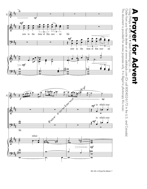

### **A Prayer for Addyer inc.**  $\mathbf{D}$  $\bullet$ **Advent**

Craig Phillips • 455-182 • Selah Publishing Co., Inc.<br>Order from your favorite dealer or at www.selahpub.com (Or call 800-852-6172 in the U.S. and Canada)<br>This document is provided for review purposes only It is illegal to This document is provided for review purposes only. It is illegal to photocopy this music. This document is provided for review purposes only. Order from your favorite dealer or at www.selahpub.com (Or call 800-852-6172 in the U.S. and Canada) *It is illegal to photocopy this music.*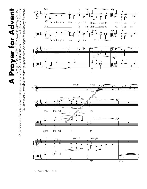**A Prayer for Advent** Craig Phillips • 405-182 • Selah Publishing Co., Inc. Craig Phillips • 405-182 • Selah Publishing Co., Inc.<br>Order from your favorite dealer or at www.selahpub.com (Or call 800-852-6172 in the U.S. and Canada) Order from your favorite dealer or at www.selahpub.com (Or call 800-852-6172 in the U.S. and Canada) This document is provided for review purposes only. It is illegal to photocopy this music. This document is provided for review purposes only. *It is illegal to photocopy this music.* **Prayer for Adven** 1



b œ .

 $\overline{\bullet}$ 

n

 $\mathbf{8}$ 

**p** 

 $\circ$ 6

 $\bullet$ 

 $\frac{\mathbf{p}}{\mathbf{p}}$ 

Man.

# #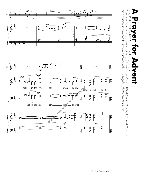

Craig Phillips • 405-182 • Selah Publishing Co., Inc.<br>Order from your favorite dealer or at www.selahpub.com (Or call 800-852-6172 in the U.S. and Canada)<br>This document is exercided for review, exerce cent, this illected t **A Prayer for Addyer inc.** L  $\bullet$ **ACRYCIT** 

Order from your favorite dealer or at www.selahpub.com (Or call 800-852-6172 in the U.S. and Canada)

405-182–A Prayer for Advent– 9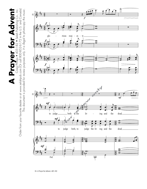$\sum_{\text{Order from your favorite dealer or at www.selchppub.com (Or call 800-852-6172 in the U.S. and Canada)} \sum_{\text{cralg Phulips}} \bigcirc_{\text{405-182}} \bigcirc_{\text{selch Publishing Co.}, Inc.}$ **A Prayer for Advent** Craig Phillips • 405-182 • Selah Publishing Co., Inc. Order from your favorite dealer or at www.selahpub.com (Or call 800-852-6172 in the U.S. and Canada) This document is provided for review purposes only. It is illegal to photocopy this music. This document is provided for review purposes only. *It is illegal to photocopy this music.*

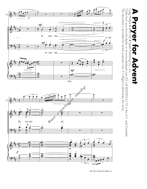

<sup>405-182–</sup>A Prayer for Advent–11

Order from your favorite dealer or at www.selahpub.com (Or call 800-852-6172 in the U.S. and Canada)

**A Prayer for Addyer inc.** 

 $\bullet$ 

**Advent** 

 $\mathbf{D}$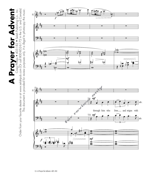

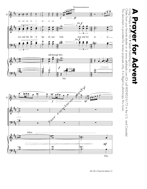

**A Prayer for Addyer inc.** Ō **ACPITE**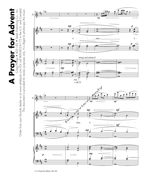**A Prayer for Advent** Craig Phillips • 405-182 • Selah Publishing Co., Inc. Order from your favorite dealer or at www.selahpub.com (Or call 800-852-6172 in the U.S. and Canada) This document is provided for review purposes only. It is illegal to photocopy this music. This document is provided for review purposes only. *It is illegal to photocopy this music.*



<sup>14–</sup>A Prayer for Advent–405-182